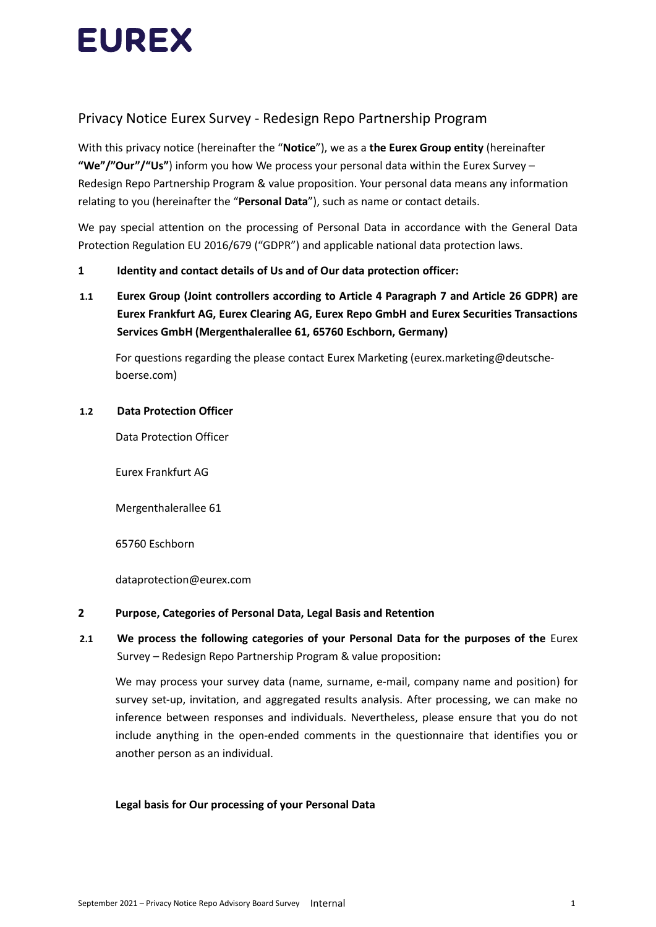

# Privacy Notice Eurex Survey - Redesign Repo Partnership Program

With this privacy notice (hereinafter the "**Notice**"), we as a **the Eurex Group entity** (hereinafter **"We"/"Our"/"Us"**) inform you how We process your personal data within the Eurex Survey – Redesign Repo Partnership Program & value proposition. Your personal data means any information relating to you (hereinafter the "**Personal Data**"), such as name or contact details.

We pay special attention on the processing of Personal Data in accordance with the General Data Protection Regulation EU 2016/679 ("GDPR") and applicable national data protection laws.

#### **1 Identity and contact details of Us and of Our data protection officer:**

**1.1 Eurex Group (Joint controllers according to Article 4 Paragraph 7 and Article 26 GDPR) are Eurex Frankfurt AG, Eurex Clearing AG, Eurex Repo GmbH and Eurex Securities Transactions Services GmbH (Mergenthalerallee 61, 65760 Eschborn, Germany)**

For questions regarding the please contact Eurex Marketing (eurex.marketing@deutscheboerse.com)

#### **1.2 Data Protection Officer**

Data Protection Officer

Eurex Frankfurt AG

Mergenthalerallee 61

65760 Eschborn

dataprotection@eurex.com

#### **2 Purpose, Categories of Personal Data, Legal Basis and Retention**

### **2.1 We process the following categories of your Personal Data for the purposes of the** Eurex Survey – Redesign Repo Partnership Program & value proposition**:**

We may process your survey data (name, surname, e-mail, company name and position) for survey set-up, invitation, and aggregated results analysis. After processing, we can make no inference between responses and individuals. Nevertheless, please ensure that you do not include anything in the open-ended comments in the questionnaire that identifies you or another person as an individual.

### **Legal basis for Our processing of your Personal Data**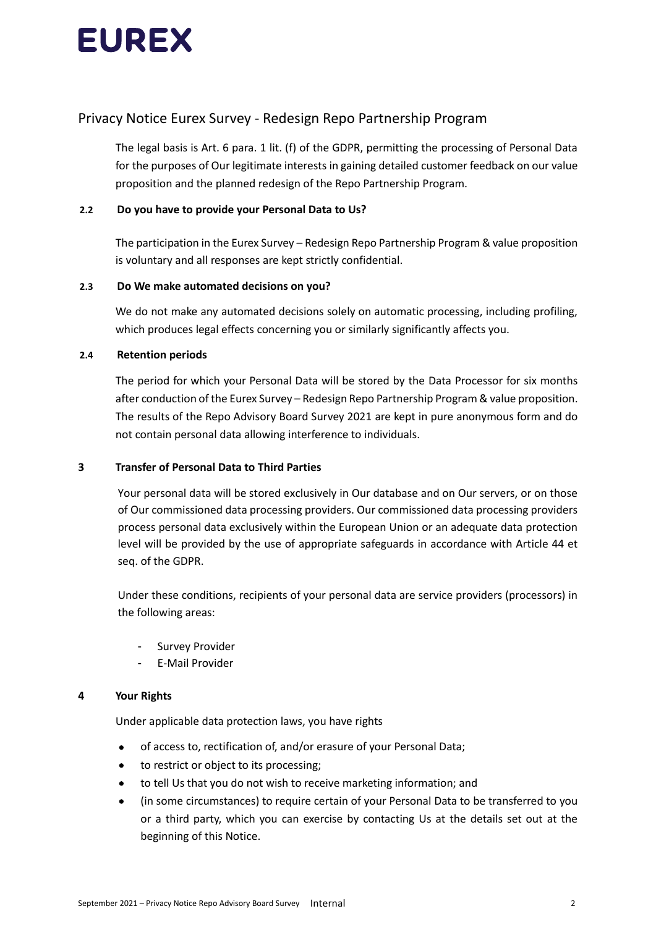

## Privacy Notice Eurex Survey - Redesign Repo Partnership Program

The legal basis is Art. 6 para. 1 lit. (f) of the GDPR, permitting the processing of Personal Data for the purposes of Our legitimate interests in gaining detailed customer feedback on our value proposition and the planned redesign of the Repo Partnership Program.

#### **2.2 Do you have to provide your Personal Data to Us?**

The participation in the Eurex Survey – Redesign Repo Partnership Program & value proposition is voluntary and all responses are kept strictly confidential.

#### **2.3 Do We make automated decisions on you?**

We do not make any automated decisions solely on automatic processing, including profiling, which produces legal effects concerning you or similarly significantly affects you.

#### **2.4 Retention periods**

The period for which your Personal Data will be stored by the Data Processor for six months after conduction of the Eurex Survey – Redesign Repo Partnership Program & value proposition. The results of the Repo Advisory Board Survey 2021 are kept in pure anonymous form and do not contain personal data allowing interference to individuals.

#### **3 Transfer of Personal Data to Third Parties**

Your personal data will be stored exclusively in Our database and on Our servers, or on those of Our commissioned data processing providers. Our commissioned data processing providers process personal data exclusively within the European Union or an adequate data protection level will be provided by the use of appropriate safeguards in accordance with Article 44 et seq. of the GDPR.

Under these conditions, recipients of your personal data are service providers (processors) in the following areas:

- Survey Provider
- E-Mail Provider

#### **4 Your Rights**

Under applicable data protection laws, you have rights

- of access to, rectification of, and/or erasure of your Personal Data;
- to restrict or object to its processing;
- to tell Us that you do not wish to receive marketing information; and
- (in some circumstances) to require certain of your Personal Data to be transferred to you or a third party, which you can exercise by contacting Us at the details set out at the beginning of this Notice.